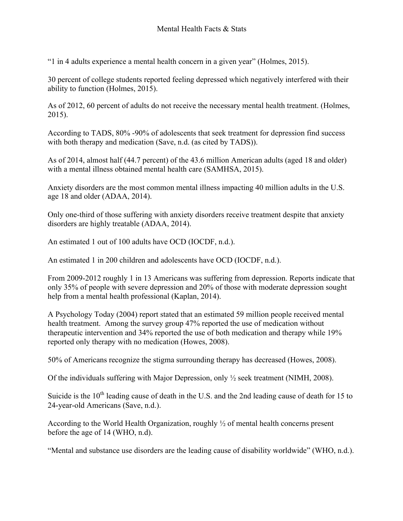"1 in 4 adults experience a mental health concern in a given year" (Holmes, 2015).

30 percent of college students reported feeling depressed which negatively interfered with their ability to function (Holmes, 2015).

As of 2012, 60 percent of adults do not receive the necessary mental health treatment. (Holmes, 2015).

According to TADS, 80% -90% of adolescents that seek treatment for depression find success with both therapy and medication (Save, n.d. (as cited by TADS)).

As of 2014, almost half (44.7 percent) of the 43.6 million American adults (aged 18 and older) with a mental illness obtained mental health care (SAMHSA, 2015).

Anxiety disorders are the most common mental illness impacting 40 million adults in the U.S. age 18 and older (ADAA, 2014).

Only one-third of those suffering with anxiety disorders receive treatment despite that anxiety disorders are highly treatable (ADAA, 2014).

An estimated 1 out of 100 adults have OCD (IOCDF, n.d.).

An estimated 1 in 200 children and adolescents have OCD (IOCDF, n.d.).

From 2009-2012 roughly 1 in 13 Americans was suffering from depression. Reports indicate that only 35% of people with severe depression and 20% of those with moderate depression sought help from a mental health professional (Kaplan, 2014).

A Psychology Today (2004) report stated that an estimated 59 million people received mental health treatment. Among the survey group 47% reported the use of medication without therapeutic intervention and 34% reported the use of both medication and therapy while 19% reported only therapy with no medication (Howes, 2008).

50% of Americans recognize the stigma surrounding therapy has decreased (Howes, 2008).

Of the individuals suffering with Major Depression, only ½ seek treatment (NIMH, 2008).

Suicide is the  $10<sup>th</sup>$  leading cause of death in the U.S. and the 2nd leading cause of death for 15 to 24-year-old Americans (Save, n.d.).

According to the World Health Organization, roughly ½ of mental health concerns present before the age of 14 (WHO, n.d).

"Mental and substance use disorders are the leading cause of disability worldwide" (WHO, n.d.).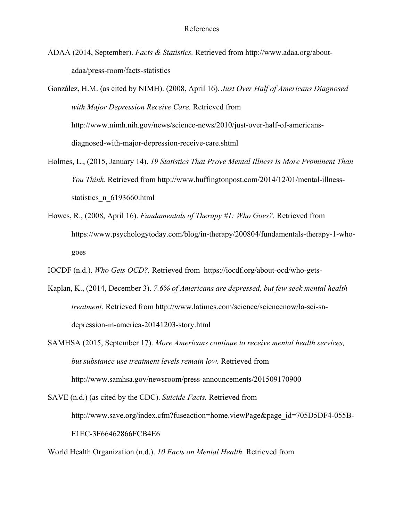ADAA (2014, September). *Facts & Statistics.* Retrieved from http://www.adaa.org/aboutadaa/press-room/facts-statistics

González, H.M. (as cited by NIMH). (2008, April 16). *Just Over Half of Americans Diagnosed with Major Depression Receive Care.* Retrieved from http://www.nimh.nih.gov/news/science-news/2010/just-over-half-of-americansdiagnosed-with-major-depression-receive-care.shtml

- Holmes, L., (2015, January 14). *19 Statistics That Prove Mental Illness Is More Prominent Than You Think.* Retrieved from http://www.huffingtonpost.com/2014/12/01/mental-illnessstatistics n 6193660.html
- Howes, R., (2008, April 16). *Fundamentals of Therapy #1: Who Goes?.* Retrieved from https://www.psychologytoday.com/blog/in-therapy/200804/fundamentals-therapy-1-whogoes
- IOCDF (n.d.). *Who Gets OCD?.* Retrieved from https://iocdf.org/about-ocd/who-gets-
- Kaplan, K., (2014, December 3). *7.6% of Americans are depressed, but few seek mental health treatment.* Retrieved from http://www.latimes.com/science/sciencenow/la-sci-sndepression-in-america-20141203-story.html
- SAMHSA (2015, September 17). *More Americans continue to receive mental health services, but substance use treatment levels remain low.* Retrieved from http://www.samhsa.gov/newsroom/press-announcements/201509170900

SAVE (n.d.) (as cited by the CDC). *Suicide Facts.* Retrieved from http://www.save.org/index.cfm?fuseaction=home.viewPage&page\_id=705D5DF4-055B-F1EC-3F66462866FCB4E6

World Health Organization (n.d.). *10 Facts on Mental Health.* Retrieved from